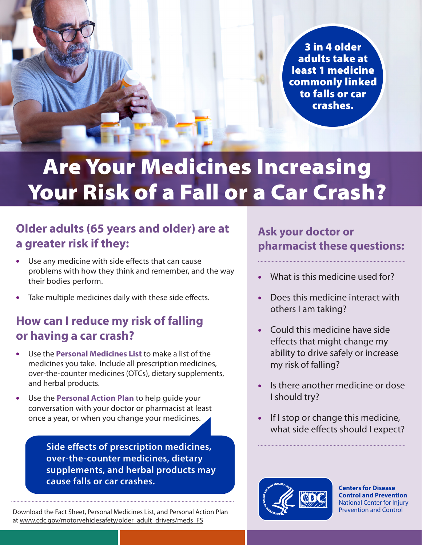3 in 4 older adults take at least 1 medicine commonly linked to falls or car crashes.

# Are Your Medicines Increasing Your Risk of a Fall or a Car Crash?

### **Older adults (65 years and older) are at a greater risk if they:**

- Use any medicine with side effects that can cause problems with how they think and remember, and the way their bodies perform.
- Take multiple medicines daily with these side effects.

### **How can I reduce my risk of falling or having a car crash?**

- Use the **Personal Medicines List** to make a list of the medicines you take. Include all prescription medicines, over-the-counter medicines (OTCs), dietary supplements, and herbal products.
- Use the **Personal Action Plan** to help guide your conversation with your doctor or pharmacist at least once a year, or when you change your medicines.

**Side effects of prescription medicines, over-the-counter medicines, dietary supplements, and herbal products may cause falls or car crashes.**

Download the Fact Sheet, Personal Medicines List, and Personal Action Plan at [www.cdc.gov/motorvehiclesafety/older\\_adult\\_drivers/meds\\_FS](http://www.cdc.gov/motorvehiclesafety/older_adult_drivers/meds_FS)

### **Ask your doctor or pharmacist these questions:**

- What is this medicine used for?
- Does this medicine interact with others I am taking?
- Could this medicine have side effects that might change my ability to drive safely or increase my risk of falling?
- Is there another medicine or dose I should try?
- If I stop or change this medicine, what side effects should I expect?



**Centers for Disease Control and Prevention** National Center for Injury Prevention and Control